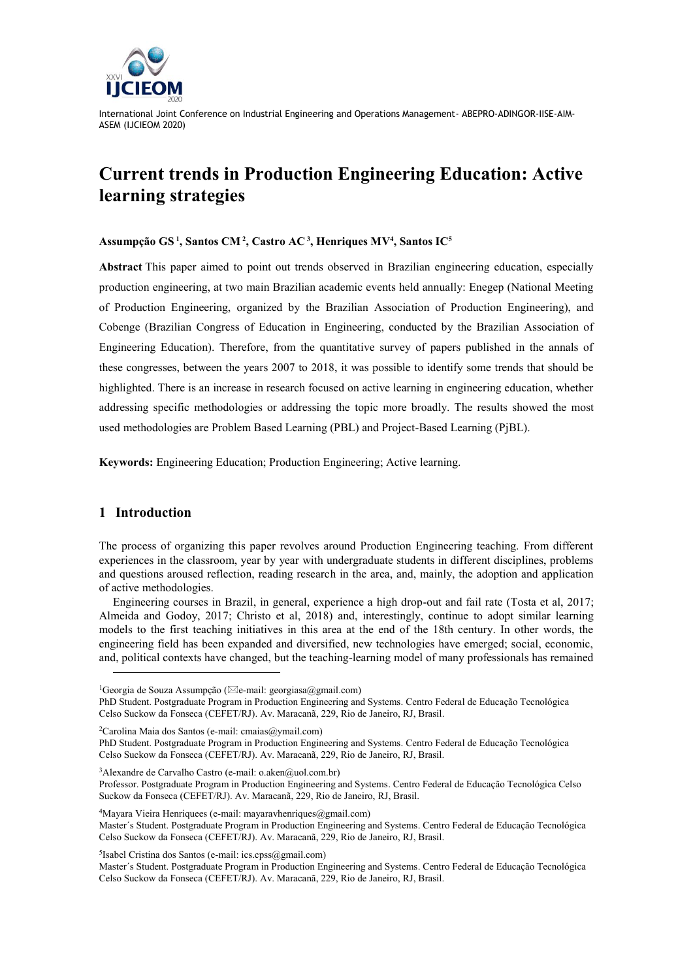

## **Current trends in Production Engineering Education: Active learning strategies**

**Assumpção GS <sup>1</sup> , Santos CM <sup>2</sup> , Castro AC <sup>3</sup> , Henriques MV<sup>4</sup> , Santos IC<sup>5</sup>**

**Abstract** This paper aimed to point out trends observed in Brazilian engineering education, especially production engineering, at two main Brazilian academic events held annually: Enegep (National Meeting of Production Engineering, organized by the Brazilian Association of Production Engineering), and Cobenge (Brazilian Congress of Education in Engineering, conducted by the Brazilian Association of Engineering Education). Therefore, from the quantitative survey of papers published in the annals of these congresses, between the years 2007 to 2018, it was possible to identify some trends that should be highlighted. There is an increase in research focused on active learning in engineering education, whether addressing specific methodologies or addressing the topic more broadly. The results showed the most used methodologies are Problem Based Learning (PBL) and Project-Based Learning (PjBL).

**Keywords:** Engineering Education; Production Engineering; Active learning.

### **1 Introduction**

l

The process of organizing this paper revolves around Production Engineering teaching. From different experiences in the classroom, year by year with undergraduate students in different disciplines, problems and questions aroused reflection, reading research in the area, and, mainly, the adoption and application of active methodologies.

Engineering courses in Brazil, in general, experience a high drop-out and fail rate (Tosta et al, 2017; Almeida and Godoy, 2017; Christo et al, 2018) and, interestingly, continue to adopt similar learning models to the first teaching initiatives in this area at the end of the 18th century. In other words, the engineering field has been expanded and diversified, new technologies have emerged; social, economic, and, political contexts have changed, but the teaching-learning model of many professionals has remained

<sup>2</sup>Carolina Maia dos Santos (e-mail: cmaias@ymail.com)

<sup>3</sup>Alexandre de Carvalho Castro (e-mail: o.aken@uol.com.br)

<sup>4</sup>Mayara Vieira Henriquees (e-mail: mayaravhenriques@gmail.com)

5 Isabel Cristina dos Santos (e-mail: ics.cpss@gmail.com)

Master´s Student. Postgraduate Program in Production Engineering and Systems. Centro Federal de Educação Tecnológica Celso Suckow da Fonseca (CEFET/RJ). Av. Maracanã, 229, Rio de Janeiro, RJ, Brasil.

<sup>&</sup>lt;sup>1</sup>Georgia de Souza Assumpção ( $\boxtimes$ e-mail: georgiasa@gmail.com)

PhD Student. Postgraduate Program in Production Engineering and Systems. Centro Federal de Educação Tecnológica Celso Suckow da Fonseca (CEFET/RJ). Av. Maracanã, 229, Rio de Janeiro, RJ, Brasil.

PhD Student. Postgraduate Program in Production Engineering and Systems. Centro Federal de Educação Tecnológica Celso Suckow da Fonseca (CEFET/RJ). Av. Maracanã, 229, Rio de Janeiro, RJ, Brasil.

Professor. Postgraduate Program in Production Engineering and Systems. Centro Federal de Educação Tecnológica Celso Suckow da Fonseca (CEFET/RJ). Av. Maracanã, 229, Rio de Janeiro, RJ, Brasil.

Master´s Student. Postgraduate Program in Production Engineering and Systems. Centro Federal de Educação Tecnológica Celso Suckow da Fonseca (CEFET/RJ). Av. Maracanã, 229, Rio de Janeiro, RJ, Brasil.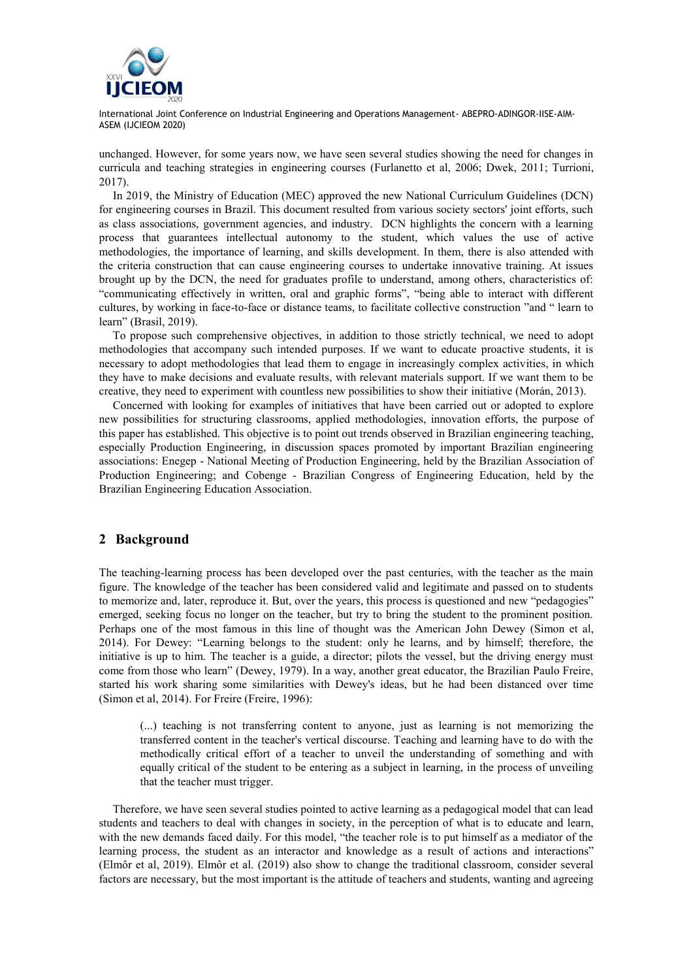

unchanged. However, for some years now, we have seen several studies showing the need for changes in curricula and teaching strategies in engineering courses (Furlanetto et al, 2006; Dwek, 2011; Turrioni, 2017).

In 2019, the Ministry of Education (MEC) approved the new National Curriculum Guidelines (DCN) for engineering courses in Brazil. This document resulted from various society sectors' joint efforts, such as class associations, government agencies, and industry. DCN highlights the concern with a learning process that guarantees intellectual autonomy to the student, which values the use of active methodologies, the importance of learning, and skills development. In them, there is also attended with the criteria construction that can cause engineering courses to undertake innovative training. At issues brought up by the DCN, the need for graduates profile to understand, among others, characteristics of: "communicating effectively in written, oral and graphic forms", "being able to interact with different cultures, by working in face-to-face or distance teams, to facilitate collective construction "and " learn to learn" (Brasil, 2019).

To propose such comprehensive objectives, in addition to those strictly technical, we need to adopt methodologies that accompany such intended purposes. If we want to educate proactive students, it is necessary to adopt methodologies that lead them to engage in increasingly complex activities, in which they have to make decisions and evaluate results, with relevant materials support. If we want them to be creative, they need to experiment with countless new possibilities to show their initiative (Morán, 2013).

Concerned with looking for examples of initiatives that have been carried out or adopted to explore new possibilities for structuring classrooms, applied methodologies, innovation efforts, the purpose of this paper has established. This objective is to point out trends observed in Brazilian engineering teaching, especially Production Engineering, in discussion spaces promoted by important Brazilian engineering associations: Enegep - National Meeting of Production Engineering, held by the Brazilian Association of Production Engineering; and Cobenge - Brazilian Congress of Engineering Education, held by the Brazilian Engineering Education Association.

### **2 Background**

The teaching-learning process has been developed over the past centuries, with the teacher as the main figure. The knowledge of the teacher has been considered valid and legitimate and passed on to students to memorize and, later, reproduce it. But, over the years, this process is questioned and new "pedagogies" emerged, seeking focus no longer on the teacher, but try to bring the student to the prominent position. Perhaps one of the most famous in this line of thought was the American John Dewey (Simon et al, 2014). For Dewey: "Learning belongs to the student: only he learns, and by himself; therefore, the initiative is up to him. The teacher is a guide, a director; pilots the vessel, but the driving energy must come from those who learn" (Dewey, 1979). In a way, another great educator, the Brazilian Paulo Freire, started his work sharing some similarities with Dewey's ideas, but he had been distanced over time (Simon et al, 2014). For Freire (Freire, 1996):

(...) teaching is not transferring content to anyone, just as learning is not memorizing the transferred content in the teacher's vertical discourse. Teaching and learning have to do with the methodically critical effort of a teacher to unveil the understanding of something and with equally critical of the student to be entering as a subject in learning, in the process of unveiling that the teacher must trigger.

Therefore, we have seen several studies pointed to active learning as a pedagogical model that can lead students and teachers to deal with changes in society, in the perception of what is to educate and learn, with the new demands faced daily. For this model, "the teacher role is to put himself as a mediator of the learning process, the student as an interactor and knowledge as a result of actions and interactions" (Elmôr et al, 2019). Elmôr et al. (2019) also show to change the traditional classroom, consider several factors are necessary, but the most important is the attitude of teachers and students, wanting and agreeing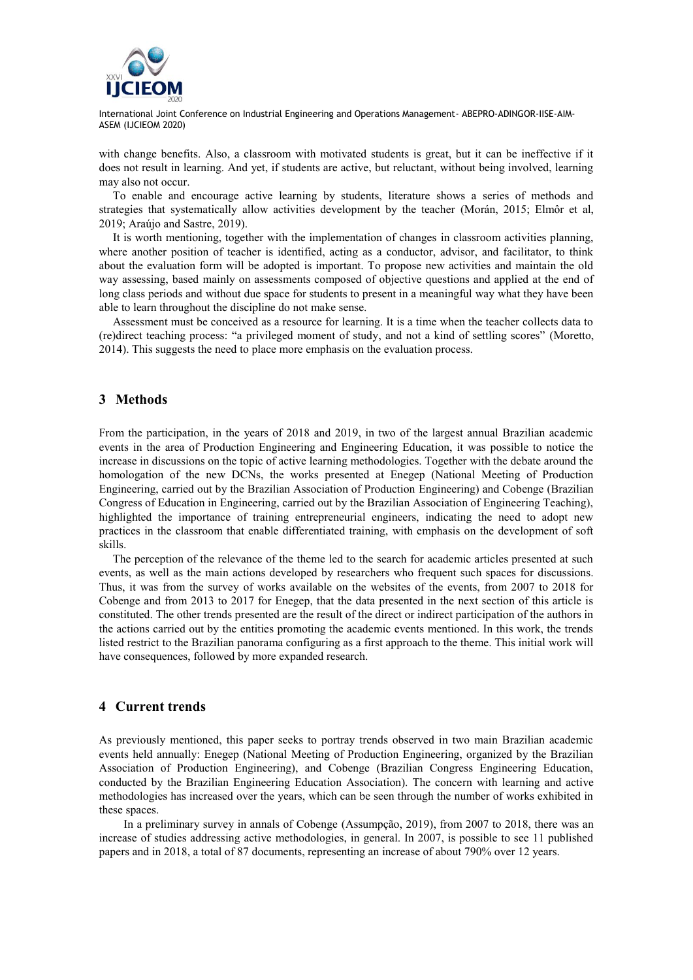

with change benefits. Also, a classroom with motivated students is great, but it can be ineffective if it does not result in learning. And yet, if students are active, but reluctant, without being involved, learning may also not occur.

To enable and encourage active learning by students, literature shows a series of methods and strategies that systematically allow activities development by the teacher (Morán, 2015; Elmôr et al, 2019; Araújo and Sastre, 2019).

It is worth mentioning, together with the implementation of changes in classroom activities planning, where another position of teacher is identified, acting as a conductor, advisor, and facilitator, to think about the evaluation form will be adopted is important. To propose new activities and maintain the old way assessing, based mainly on assessments composed of objective questions and applied at the end of long class periods and without due space for students to present in a meaningful way what they have been able to learn throughout the discipline do not make sense.

Assessment must be conceived as a resource for learning. It is a time when the teacher collects data to (re)direct teaching process: "a privileged moment of study, and not a kind of settling scores" (Moretto, 2014). This suggests the need to place more emphasis on the evaluation process.

### **3 Methods**

From the participation, in the years of 2018 and 2019, in two of the largest annual Brazilian academic events in the area of Production Engineering and Engineering Education, it was possible to notice the increase in discussions on the topic of active learning methodologies. Together with the debate around the homologation of the new DCNs, the works presented at Enegep (National Meeting of Production Engineering, carried out by the Brazilian Association of Production Engineering) and Cobenge (Brazilian Congress of Education in Engineering, carried out by the Brazilian Association of Engineering Teaching), highlighted the importance of training entrepreneurial engineers, indicating the need to adopt new practices in the classroom that enable differentiated training, with emphasis on the development of soft skills.

The perception of the relevance of the theme led to the search for academic articles presented at such events, as well as the main actions developed by researchers who frequent such spaces for discussions. Thus, it was from the survey of works available on the websites of the events, from 2007 to 2018 for Cobenge and from 2013 to 2017 for Enegep, that the data presented in the next section of this article is constituted. The other trends presented are the result of the direct or indirect participation of the authors in the actions carried out by the entities promoting the academic events mentioned. In this work, the trends listed restrict to the Brazilian panorama configuring as a first approach to the theme. This initial work will have consequences, followed by more expanded research.

#### **4 Current trends**

As previously mentioned, this paper seeks to portray trends observed in two main Brazilian academic events held annually: Enegep (National Meeting of Production Engineering, organized by the Brazilian Association of Production Engineering), and Cobenge (Brazilian Congress Engineering Education, conducted by the Brazilian Engineering Education Association). The concern with learning and active methodologies has increased over the years, which can be seen through the number of works exhibited in these spaces.

In a preliminary survey in annals of Cobenge (Assumpção, 2019), from 2007 to 2018, there was an increase of studies addressing active methodologies, in general. In 2007, is possible to see 11 published papers and in 2018, a total of 87 documents, representing an increase of about 790% over 12 years.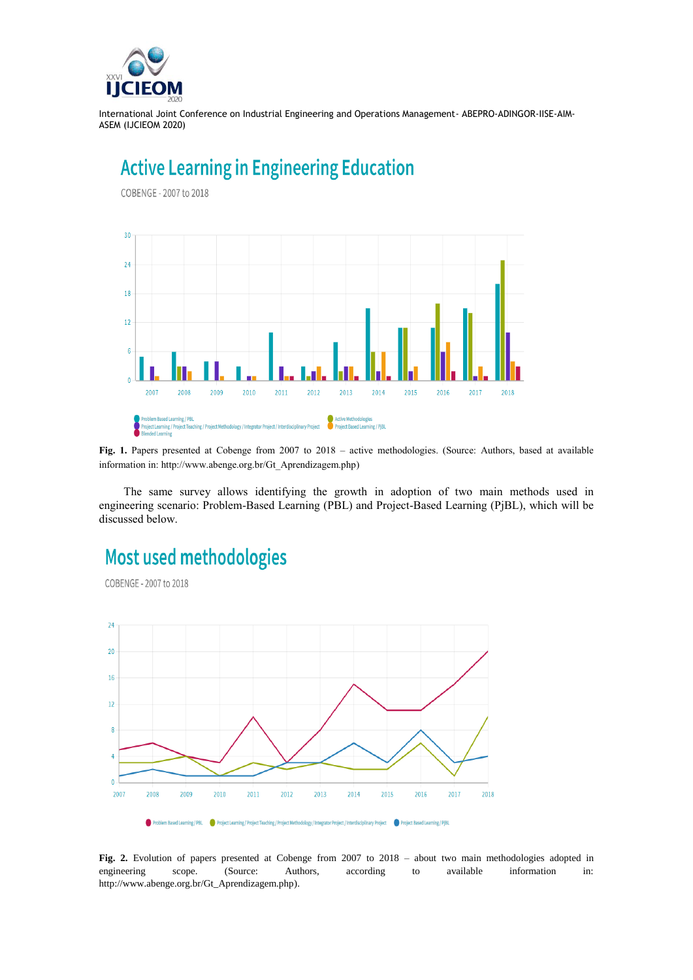

# **Active Learning in Engineering Education**

COBENGE - 2007 to 2018



**Fig. 1.** Papers presented at Cobenge from 2007 to 2018 – active methodologies. (Source: Authors, based at available information in[: http://www.abenge.org.br/Gt\\_Aprendizagem.php\)](http://www.abenge.org.br/Gt_Aprendizagem.php)

The same survey allows identifying the growth in adoption of two main methods used in engineering scenario: Problem-Based Learning (PBL) and Project-Based Learning (PjBL), which will be discussed below.

# Most used methodologies

COBENGE - 2007 to 2018



**Fig. 2.** Evolution of papers presented at Cobenge from 2007 to 2018 – about two main methodologies adopted in engineering scope. (Source: Authors, according to available information in: [http://www.abenge.org.br/Gt\\_Aprendizagem.php\)](http://www.abenge.org.br/Gt_Aprendizagem.php).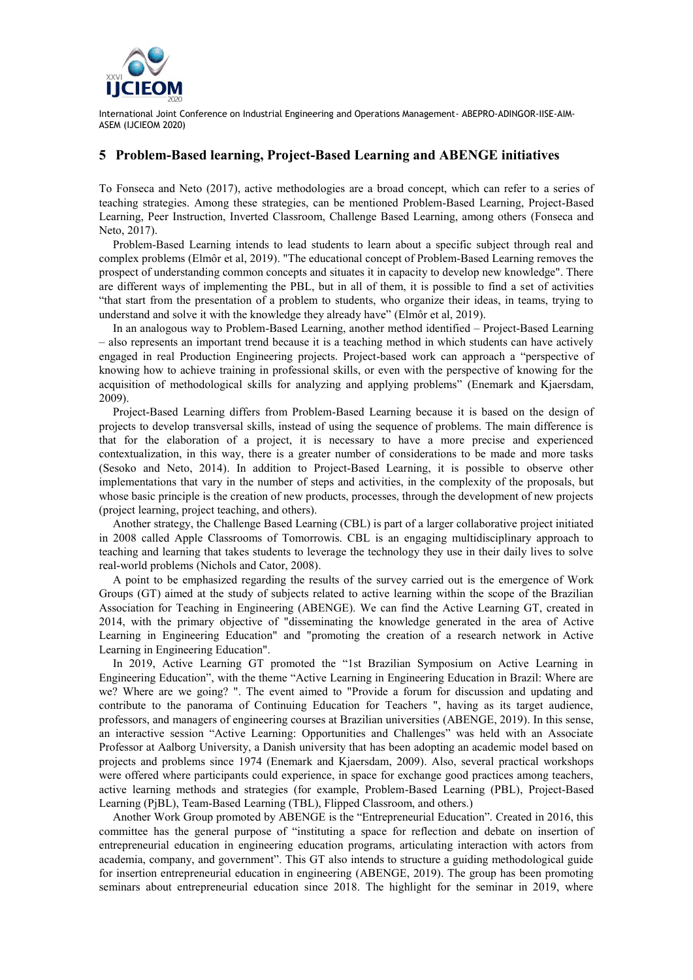

### **5 Problem-Based learning, Project-Based Learning and ABENGE initiatives**

To Fonseca and Neto (2017), active methodologies are a broad concept, which can refer to a series of teaching strategies. Among these strategies, can be mentioned Problem-Based Learning, Project-Based Learning, Peer Instruction, Inverted Classroom, Challenge Based Learning, among others (Fonseca and Neto, 2017).

Problem-Based Learning intends to lead students to learn about a specific subject through real and complex problems (Elmôr et al, 2019). "The educational concept of Problem-Based Learning removes the prospect of understanding common concepts and situates it in capacity to develop new knowledge". There are different ways of implementing the PBL, but in all of them, it is possible to find a set of activities "that start from the presentation of a problem to students, who organize their ideas, in teams, trying to understand and solve it with the knowledge they already have" (Elmôr et al, 2019).

In an analogous way to Problem-Based Learning, another method identified – Project-Based Learning – also represents an important trend because it is a teaching method in which students can have actively engaged in real Production Engineering projects. Project-based work can approach a "perspective of knowing how to achieve training in professional skills, or even with the perspective of knowing for the acquisition of methodological skills for analyzing and applying problems" (Enemark and Kjaersdam, 2009).

Project-Based Learning differs from Problem-Based Learning because it is based on the design of projects to develop transversal skills, instead of using the sequence of problems. The main difference is that for the elaboration of a project, it is necessary to have a more precise and experienced contextualization, in this way, there is a greater number of considerations to be made and more tasks (Sesoko and Neto, 2014). In addition to Project-Based Learning, it is possible to observe other implementations that vary in the number of steps and activities, in the complexity of the proposals, but whose basic principle is the creation of new products, processes, through the development of new projects (project learning, project teaching, and others).

Another strategy, the Challenge Based Learning (CBL) is part of a larger collaborative project initiated in 2008 called Apple Classrooms of Tomorrowis. CBL is an engaging multidisciplinary approach to teaching and learning that takes students to leverage the technology they use in their daily lives to solve real-world problems (Nichols and Cator, 2008).

A point to be emphasized regarding the results of the survey carried out is the emergence of Work Groups (GT) aimed at the study of subjects related to active learning within the scope of the Brazilian Association for Teaching in Engineering (ABENGE). We can find the Active Learning GT, created in 2014, with the primary objective of "disseminating the knowledge generated in the area of Active Learning in Engineering Education" and "promoting the creation of a research network in Active Learning in Engineering Education".

In 2019, Active Learning GT promoted the "1st Brazilian Symposium on Active Learning in Engineering Education", with the theme "Active Learning in Engineering Education in Brazil: Where are we? Where are we going? ". The event aimed to "Provide a forum for discussion and updating and contribute to the panorama of Continuing Education for Teachers ", having as its target audience, professors, and managers of engineering courses at Brazilian universities (ABENGE, 2019). In this sense, an interactive session "Active Learning: Opportunities and Challenges" was held with an Associate Professor at Aalborg University, a Danish university that has been adopting an academic model based on projects and problems since 1974 (Enemark and Kjaersdam, 2009). Also, several practical workshops were offered where participants could experience, in space for exchange good practices among teachers, active learning methods and strategies (for example, Problem-Based Learning (PBL), Project-Based Learning (PjBL), Team-Based Learning (TBL), Flipped Classroom, and others.)

Another Work Group promoted by ABENGE is the "Entrepreneurial Education". Created in 2016, this committee has the general purpose of "instituting a space for reflection and debate on insertion of entrepreneurial education in engineering education programs, articulating interaction with actors from academia, company, and government". This GT also intends to structure a guiding methodological guide for insertion entrepreneurial education in engineering (ABENGE, 2019). The group has been promoting seminars about entrepreneurial education since 2018. The highlight for the seminar in 2019, where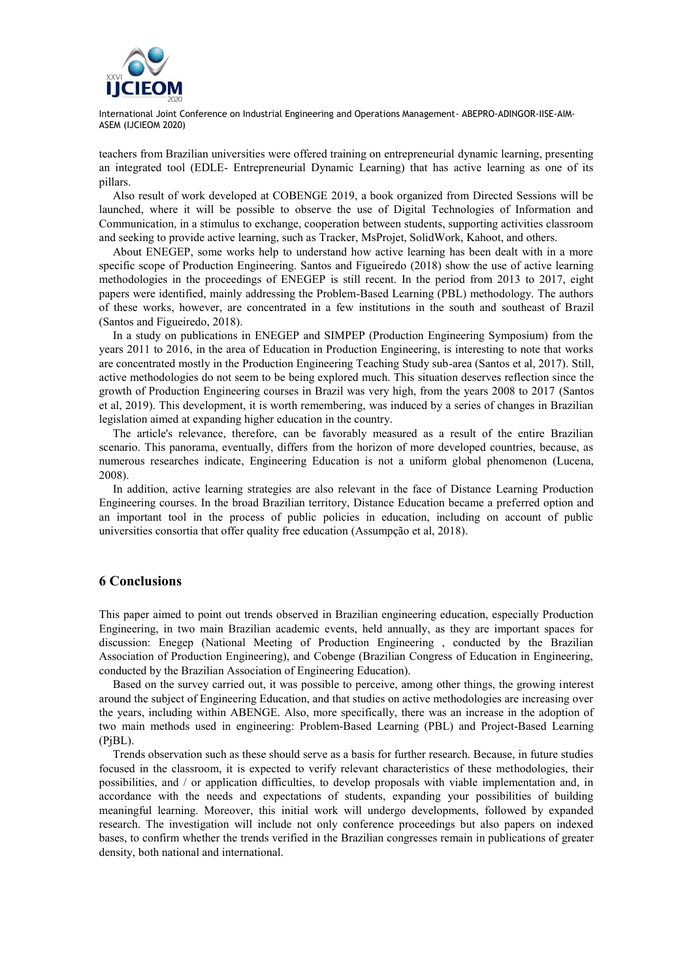

teachers from Brazilian universities were offered training on entrepreneurial dynamic learning, presenting an integrated tool (EDLE- Entrepreneurial Dynamic Learning) that has active learning as one of its pillars.

Also result of work developed at COBENGE 2019, a book organized from Directed Sessions will be launched, where it will be possible to observe the use of Digital Technologies of Information and Communication, in a stimulus to exchange, cooperation between students, supporting activities classroom and seeking to provide active learning, such as Tracker, MsProjet, SolidWork, Kahoot, and others.

About ENEGEP, some works help to understand how active learning has been dealt with in a more specific scope of Production Engineering. Santos and Figueiredo (2018) show the use of active learning methodologies in the proceedings of ENEGEP is still recent. In the period from 2013 to 2017, eight papers were identified, mainly addressing the Problem-Based Learning (PBL) methodology. The authors of these works, however, are concentrated in a few institutions in the south and southeast of Brazil (Santos and Figueiredo, 2018).

In a study on publications in ENEGEP and SIMPEP (Production Engineering Symposium) from the years 2011 to 2016, in the area of Education in Production Engineering, is interesting to note that works are concentrated mostly in the Production Engineering Teaching Study sub-area (Santos et al, 2017). Still, active methodologies do not seem to be being explored much. This situation deserves reflection since the growth of Production Engineering courses in Brazil was very high, from the years 2008 to 2017 (Santos et al, 2019). This development, it is worth remembering, was induced by a series of changes in Brazilian legislation aimed at expanding higher education in the country.

The article's relevance, therefore, can be favorably measured as a result of the entire Brazilian scenario. This panorama, eventually, differs from the horizon of more developed countries, because, as numerous researches indicate, Engineering Education is not a uniform global phenomenon (Lucena, 2008).

In addition, active learning strategies are also relevant in the face of Distance Learning Production Engineering courses. In the broad Brazilian territory, Distance Education became a preferred option and an important tool in the process of public policies in education, including on account of public universities consortia that offer quality free education (Assumpção et al, 2018).

### **6 Conclusions**

This paper aimed to point out trends observed in Brazilian engineering education, especially Production Engineering, in two main Brazilian academic events, held annually, as they are important spaces for discussion: Enegep (National Meeting of Production Engineering , conducted by the Brazilian Association of Production Engineering), and Cobenge (Brazilian Congress of Education in Engineering, conducted by the Brazilian Association of Engineering Education).

Based on the survey carried out, it was possible to perceive, among other things, the growing interest around the subject of Engineering Education, and that studies on active methodologies are increasing over the years, including within ABENGE. Also, more specifically, there was an increase in the adoption of two main methods used in engineering: Problem-Based Learning (PBL) and Project-Based Learning (PjBL).

Trends observation such as these should serve as a basis for further research. Because, in future studies focused in the classroom, it is expected to verify relevant characteristics of these methodologies, their possibilities, and / or application difficulties, to develop proposals with viable implementation and, in accordance with the needs and expectations of students, expanding your possibilities of building meaningful learning. Moreover, this initial work will undergo developments, followed by expanded research. The investigation will include not only conference proceedings but also papers on indexed bases, to confirm whether the trends verified in the Brazilian congresses remain in publications of greater density, both national and international.